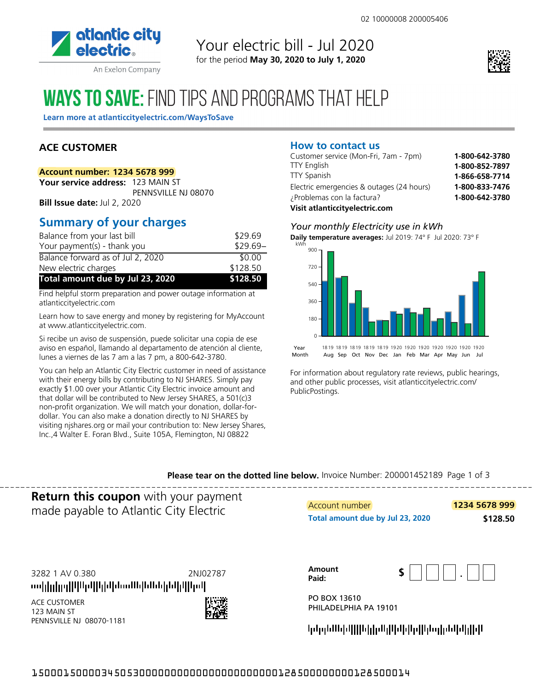

An Exelon Company

## Your electric bill - Jul 2020 for the period **May 30, 2020 to July 1, 2020**



# **WAYS TO SAVE: FIND TIPS AND PROGRAMS THAT HELP**

Learn more at atlanticcityelectric.com/WaysToSave

## **ACE CUSTOMER**

#### **Account number: 1234 5678 999**

**Your service address:** 123 MAIN ST PENNSVILLE NJ 08070 **Bill Issue date:** Jul 2, 2020

# **Summary of your charges**

| Balance from your last bill       | \$29.69   |
|-----------------------------------|-----------|
| Your payment(s) - thank you       | $$29.69-$ |
| Balance forward as of Jul 2, 2020 | \$0.00    |
| New electric charges              | \$128.50  |
| Total amount due by Jul 23, 2020  | \$128.50  |

Find helpful storm preparation and power outage information at atlanticcityelectric.com

Learn how to save energy and money by registering for MyAccount at www.atlanticcityelectric.com.

Si recibe un aviso de suspensión, puede solicitar una copia de ese aviso en español, llamando al departamento de atención al cliente, lunes a viernes de las 7 am a las 7 pm, a 800-642-3780.

You can help an Atlantic City Electric customer in need of assistance with their energy bills by contributing to NJ SHARES. Simply pay exactly \$1.00 over your Atlantic City Electric invoice amount and that dollar will be contributed to New Jersey SHARES, a 501(c)3 non-profit organization. We will match your donation, dollar-fordollar. You can also make a donation directly to NJ SHARES by visiting njshares.org or mail your contribution to: New Jersey Shares, Inc.,4 Walter E. Foran Blvd., Suite 105A, Flemington, NJ 08822

#### **How to contact us**

| Customer service (Mon-Fri, 7am - 7pm)     | 1-800-642-3780 |
|-------------------------------------------|----------------|
| <b>TTY English</b>                        | 1-800-852-7897 |
| <b>TTY Spanish</b>                        | 1-866-658-7714 |
| Electric emergencies & outages (24 hours) | 1-800-833-7476 |
| ¿Problemas con la factura?                | 1-800-642-3780 |
| Visit atlanticcityelectric.com            |                |

#### *Your monthly Electricity use in kWh*

**Daily temperature averages:** Jul 2019: 74° F Jul 2020: 73° F



For information about regulatory rate reviews, public hearings,

and other public processes, visit atlanticcityelectric.com/ PublicPostings.

**Please tear on the dotted line below.** Invoice Number: 200001452189 Page 1 of 3

**Return this coupon** with your payment made payable to Atlantic City Electric

3282 1 AV 0.380

2NJ02787

ավլկլերին հետևիկան կարիկություն

ACE CUSTOMER 123 MAIN ST PENNSVILLE NJ 08070-1181



| Account number                   | 1234 5678 999 |
|----------------------------------|---------------|
| Total amount due by Jul 23, 2020 | \$128.50      |

| Amount<br>Paid: | $\blacksquare$ |
|-----------------|----------------|
|                 |                |

PO BOX 13610 PHILADELPHIA PA 19101

կվորեՍեիվ|||իկիմկ|կմիկեր||կեղինկմի||կ|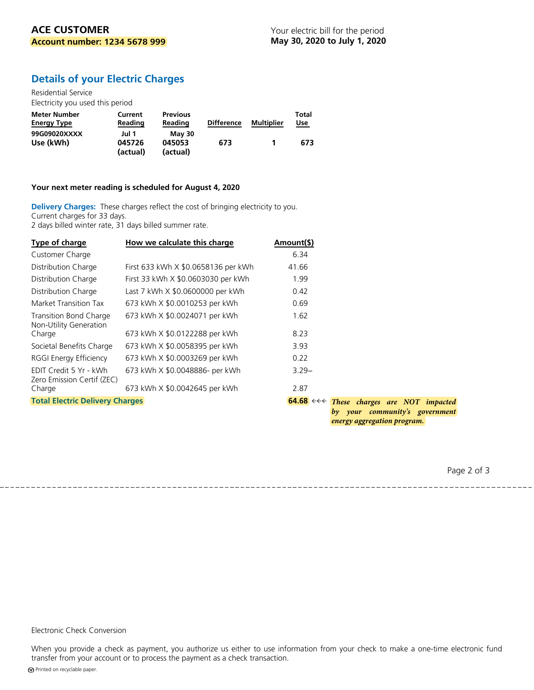### **Details of your Electric Charges**

Residential Service Electricity you used this period

| Meter Number<br><b>Energy Type</b> | Current<br>Reading | <b>Previous</b><br>Reading | <b>Difference</b> | Multiplier | Total<br><u>Use</u> |
|------------------------------------|--------------------|----------------------------|-------------------|------------|---------------------|
| 99G09020XXXX                       | Jul 1              | <b>May 30</b>              |                   |            |                     |
| Use (kWh)                          | 045726             | 045053                     | 673               |            | 673                 |
|                                    | (actual)           | (actual)                   |                   |            |                     |

#### **Your next meter reading is scheduled for August 4, 2020**

**Delivery Charges:** These charges reflect the cost of bringing electricity to you. Current charges for 33 days. 2 days billed winter rate, 31 days billed summer rate.

| Type of charge                                       | How we calculate this charge        | Amount(\$)                                             |                             |  |                                |
|------------------------------------------------------|-------------------------------------|--------------------------------------------------------|-----------------------------|--|--------------------------------|
| Customer Charge                                      |                                     | 6.34                                                   |                             |  |                                |
| Distribution Charge                                  | First 633 kWh X \$0.0658136 per kWh | 41.66                                                  |                             |  |                                |
| Distribution Charge                                  | First 33 kWh X \$0.0603030 per kWh  | 1.99                                                   |                             |  |                                |
| Distribution Charge                                  | Last 7 kWh X \$0.0600000 per kWh    | 0.42                                                   |                             |  |                                |
| Market Transition Tax                                | 673 kWh X \$0.0010253 per kWh       | 0.69                                                   |                             |  |                                |
| Transition Bond Charge<br>Non-Utility Generation     | 673 kWh X \$0.0024071 per kWh       | 1.62                                                   |                             |  |                                |
| Charge                                               | 673 kWh X \$0.0122288 per kWh       | 8.23                                                   |                             |  |                                |
| Societal Benefits Charge                             | 673 kWh X \$0.0058395 per kWh       | 3.93                                                   |                             |  |                                |
| RGGI Energy Efficiency                               | 673 kWh X \$0.0003269 per kWh       | 0.22                                                   |                             |  |                                |
| EDIT Credit 5 Yr - kWh<br>Zero Emission Certif (ZEC) | 673 kWh X \$0.0048886- per kWh      | $3.29 -$                                               |                             |  |                                |
| Charge                                               | 673 kWh X \$0.0042645 per kWh       | 2.87                                                   |                             |  |                                |
| <b>Total Electric Delivery Charges</b>               |                                     | $64.68 \leftrightarrow$ These charges are NOT impacted |                             |  | by your community's government |
|                                                      |                                     |                                                        | energy aggregation program. |  |                                |

Page 2 of 3

#### Electronic Check Conversion

When you provide a check as payment, you authorize us either to use information from your check to make a one-time electronic fund transfer from your account or to process the payment as a check transaction.